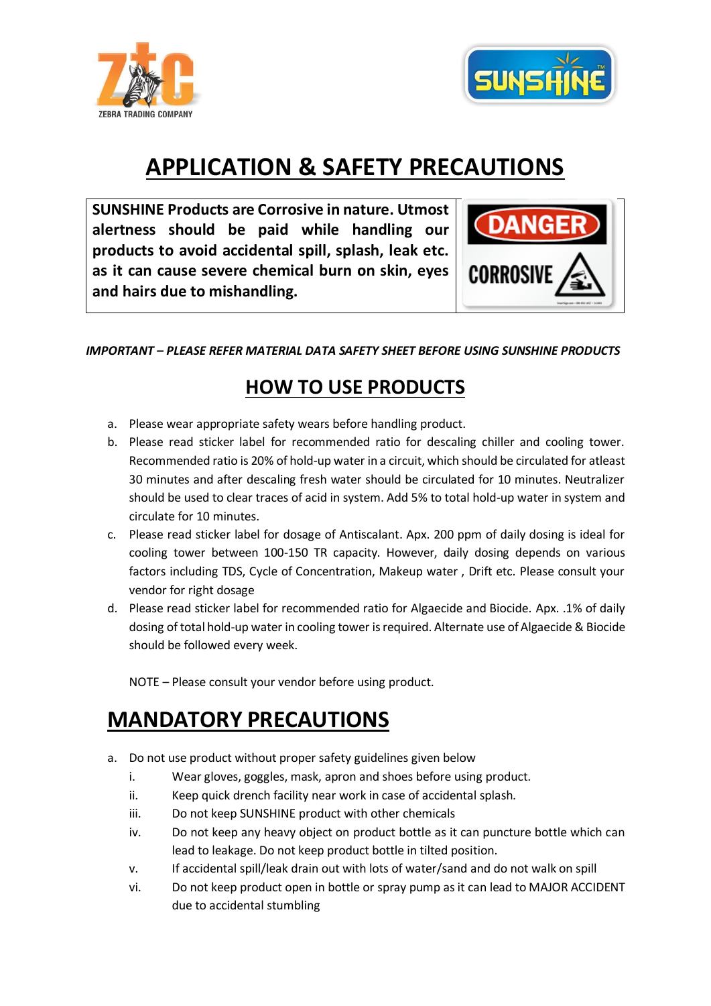



## **APPLICATION & SAFETY PRECAUTIONS**

**SUNSHINE Products are Corrosive in nature. Utmost alertness should be paid while handling our products to avoid accidental spill, splash, leak etc. as it can cause severe chemical burn on skin, eyes and hairs due to mishandling.** 



*IMPORTANT – PLEASE REFER MATERIAL DATA SAFETY SHEET BEFORE USING SUNSHINE PRODUCTS*

## **HOW TO USE PRODUCTS**

- a. Please wear appropriate safety wears before handling product.
- b. Please read sticker label for recommended ratio for descaling chiller and cooling tower. Recommended ratio is 20% of hold-up water in a circuit, which should be circulated for atleast 30 minutes and after descaling fresh water should be circulated for 10 minutes. Neutralizer should be used to clear traces of acid in system. Add 5% to total hold-up water in system and circulate for 10 minutes.
- c. Please read sticker label for dosage of Antiscalant. Apx. 200 ppm of daily dosing is ideal for cooling tower between 100-150 TR capacity. However, daily dosing depends on various factors including TDS, Cycle of Concentration, Makeup water , Drift etc. Please consult your vendor for right dosage
- d. Please read sticker label for recommended ratio for Algaecide and Biocide. Apx. .1% of daily dosing of total hold-up water in cooling tower is required. Alternate use of Algaecide & Biocide should be followed every week.

NOTE – Please consult your vendor before using product.

## **MANDATORY PRECAUTIONS**

- a. Do not use product without proper safety guidelines given below
	- i. Wear gloves, goggles, mask, apron and shoes before using product.
	- ii. Keep quick drench facility near work in case of accidental splash.
	- iii. Do not keep SUNSHINE product with other chemicals
	- iv. Do not keep any heavy object on product bottle as it can puncture bottle which can lead to leakage. Do not keep product bottle in tilted position.
	- v. If accidental spill/leak drain out with lots of water/sand and do not walk on spill
	- vi. Do not keep product open in bottle or spray pump as it can lead to MAJOR ACCIDENT due to accidental stumbling